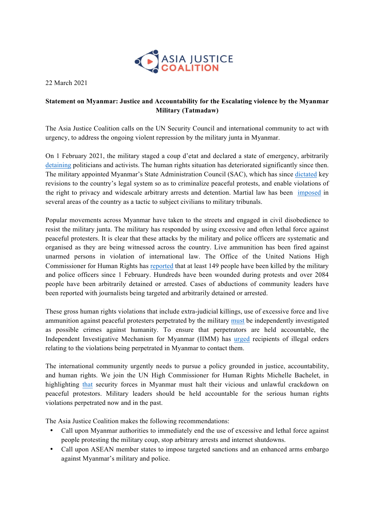

22 March 2021

## **Statement on Myanmar: Justice and Accountability for the Escalating violence by the Myanmar Military (Tatmadaw)**

The Asia Justice Coalition calls on the UN Security Council and international community to act with urgency, to address the ongoing violent repression by the military junta in Myanmar.

On 1 February 2021, the military staged a coup d'etat and declared a state of emergency, arbitrarily detaining politicians and activists. The human rights situation has deteriorated significantly since then. The military appointed Myanmar's State Administration Council (SAC), which has since dictated key revisions to the country's legal system so as to criminalize peaceful protests, and enable violations of the right to privacy and widescale arbitrary arrests and detention. Martial law has been imposed in several areas of the country as a tactic to subject civilians to military tribunals.

Popular movements across Myanmar have taken to the streets and engaged in civil disobedience to resist the military junta. The military has responded by using excessive and often lethal force against peaceful protesters. It is clear that these attacks by the military and police officers are systematic and organised as they are being witnessed across the country. Live ammunition has been fired against unarmed persons in violation of international law. The Office of the United Nations High Commissioner for Human Rights has reported that at least 149 people have been killed by the military and police officers since 1 February. Hundreds have been wounded during protests and over 2084 people have been arbitrarily detained or arrested. Cases of abductions of community leaders have been reported with journalists being targeted and arbitrarily detained or arrested.

These gross human rights violations that include extra-judicial killings, use of excessive force and live ammunition against peaceful protesters perpetrated by the military must be independently investigated as possible crimes against humanity. To ensure that perpetrators are held accountable, the Independent Investigative Mechanism for Myanmar (IIMM) has urged recipients of illegal orders relating to the violations being perpetrated in Myanmar to contact them.

The international community urgently needs to pursue a policy grounded in justice, accountability, and human rights. We join the UN High Commissioner for Human Rights Michelle Bachelet, in highlighting that security forces in Myanmar must halt their vicious and unlawful crackdown on peaceful protestors. Military leaders should be held accountable for the serious human rights violations perpetrated now and in the past.

The Asia Justice Coalition makes the following recommendations:

- Call upon Myanmar authorities to immediately end the use of excessive and lethal force against people protesting the military coup, stop arbitrary arrests and internet shutdowns.
- Call upon ASEAN member states to impose targeted sanctions and an enhanced arms embargo against Myanmar's military and police.